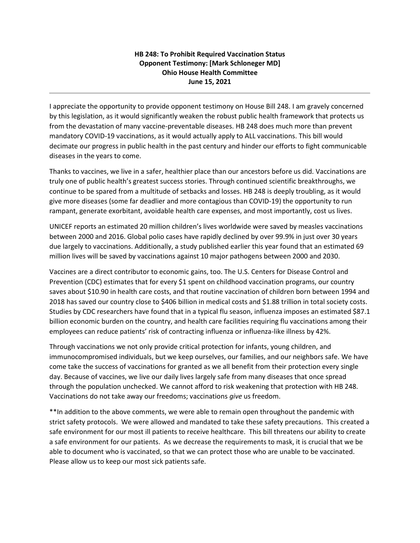## **HB 248: To Prohibit Required Vaccination Status Opponent Testimony: [Mark Schloneger MD] Ohio House Health Committee June 15, 2021**

I appreciate the opportunity to provide opponent testimony on House Bill 248. I am gravely concerned by this legislation, as it would significantly weaken the robust public health framework that protects us from the devastation of many vaccine-preventable diseases. HB 248 does much more than prevent mandatory COVID-19 vaccinations, as it would actually apply to ALL vaccinations. This bill would decimate our progress in public health in the past century and hinder our efforts to fight communicable diseases in the years to come.

Thanks to vaccines, we live in a safer, healthier place than our ancestors before us did. Vaccinations are truly one of public health's greatest success stories. Through continued scientific breakthroughs, we continue to be spared from a multitude of setbacks and losses. HB 248 is deeply troubling, as it would give more diseases (some far deadlier and more contagious than COVID-19) the opportunity to run rampant, generate exorbitant, avoidable health care expenses, and most importantly, cost us lives.

UNICEF reports an estimated 20 million children's lives worldwide were saved by measles vaccinations between 2000 and 2016. Global polio cases have rapidly declined by over 99.9% in just over 30 years due largely to vaccinations. Additionally, a study published earlier this year found that an estimated 69 million lives will be saved by vaccinations against 10 major pathogens between 2000 and 2030.

Vaccines are a direct contributor to economic gains, too. The U.S. Centers for Disease Control and Prevention (CDC) estimates that for every \$1 spent on childhood vaccination programs, our country saves about \$10.90 in health care costs, and that routine vaccination of children born between 1994 and 2018 has saved our country close to \$406 billion in medical costs and \$1.88 trillion in total society costs. Studies by CDC researchers have found that in a typical flu season, influenza imposes an estimated \$87.1 billion economic burden on the country, and health care facilities requiring flu vaccinations among their employees can reduce patients' risk of contracting influenza or influenza-like illness by 42%.

Through vaccinations we not only provide critical protection for infants, young children, and immunocompromised individuals, but we keep ourselves, our families, and our neighbors safe. We have come take the success of vaccinations for granted as we all benefit from their protection every single day. Because of vaccines, we live our daily lives largely safe from many diseases that once spread through the population unchecked. We cannot afford to risk weakening that protection with HB 248. Vaccinations do not take away our freedoms; vaccinations *give* us freedom.

\*\*In addition to the above comments, we were able to remain open throughout the pandemic with strict safety protocols. We were allowed and mandated to take these safety precautions. This created a safe environment for our most ill patients to receive healthcare. This bill threatens our ability to create a safe environment for our patients. As we decrease the requirements to mask, it is crucial that we be able to document who is vaccinated, so that we can protect those who are unable to be vaccinated. Please allow us to keep our most sick patients safe.